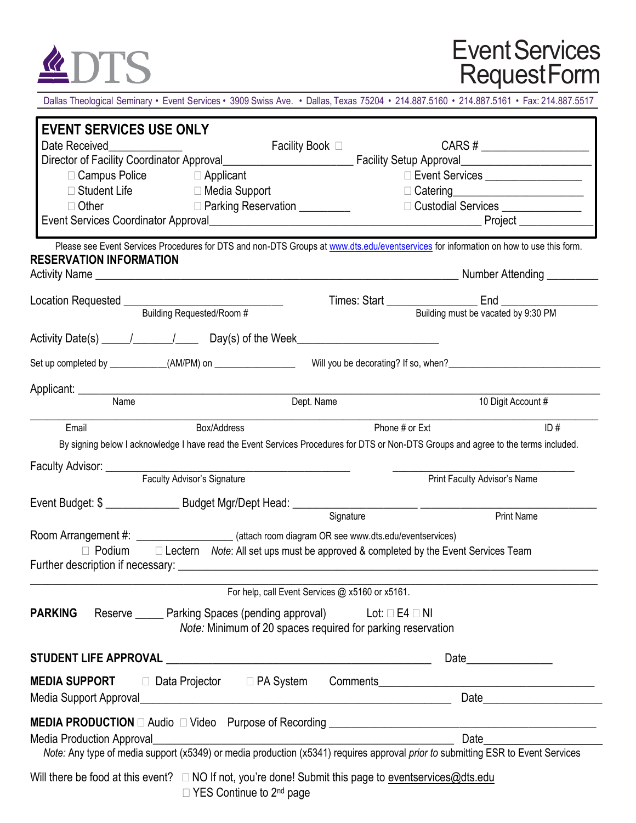

## Event Services RequestForm

Dallas Theological Seminary • Event Services • 3909 Swiss Ave. • Dallas, Texas 75204 • 214.887.5160 • 214.887.5161 • Fax: 214.887.5517

| <b>EVENT SERVICES USE ONLY</b>                                                                                                                                          |                                                                                                                        |                                     |  |  |
|-------------------------------------------------------------------------------------------------------------------------------------------------------------------------|------------------------------------------------------------------------------------------------------------------------|-------------------------------------|--|--|
| Date Received                                                                                                                                                           | Facility Book □ December 2009                                                                                          | $CARS # \n$                         |  |  |
|                                                                                                                                                                         |                                                                                                                        |                                     |  |  |
| $\Box$ Campus Police                                                                                                                                                    | $\Box$ Applicant<br>□ Event Services __________________<br>$\Box$ Student Life $\Box$ Media Support                    |                                     |  |  |
|                                                                                                                                                                         |                                                                                                                        |                                     |  |  |
| $\Box$ Other<br>D Parking Reservation __________                                                                                                                        |                                                                                                                        | □ Custodial Services ______________ |  |  |
|                                                                                                                                                                         |                                                                                                                        |                                     |  |  |
| Please see Event Services Procedures for DTS and non-DTS Groups at www.dts.edu/eventservices for information on how to use this form.<br><b>RESERVATION INFORMATION</b> |                                                                                                                        |                                     |  |  |
|                                                                                                                                                                         |                                                                                                                        |                                     |  |  |
| Location Requested ________________________                                                                                                                             |                                                                                                                        |                                     |  |  |
| Building Requested/Room #                                                                                                                                               |                                                                                                                        |                                     |  |  |
|                                                                                                                                                                         |                                                                                                                        |                                     |  |  |
| Set up completed by ___________(AM/PM) on _________________                                                                                                             |                                                                                                                        |                                     |  |  |
|                                                                                                                                                                         |                                                                                                                        |                                     |  |  |
| Applicant: Name                                                                                                                                                         | Dept. Name                                                                                                             | 10 Digit Account #                  |  |  |
| Box/Address<br>Email                                                                                                                                                    | Phone # or Ext                                                                                                         | ID#                                 |  |  |
| By signing below I acknowledge I have read the Event Services Procedures for DTS or Non-DTS Groups and agree to the terms included.                                     |                                                                                                                        |                                     |  |  |
|                                                                                                                                                                         |                                                                                                                        |                                     |  |  |
| Faculty Advisor's Signature                                                                                                                                             |                                                                                                                        | Print Faculty Advisor's Name        |  |  |
|                                                                                                                                                                         |                                                                                                                        |                                     |  |  |
|                                                                                                                                                                         | Signature                                                                                                              | <b>Print Name</b>                   |  |  |
| Room Arrangement #: __________________________(attach room diagram OR see www.dts.edu/eventservices)                                                                    |                                                                                                                        |                                     |  |  |
|                                                                                                                                                                         | $\Box$ Podium $\Box$ Lectern Note: All set ups must be approved & completed by the Event Services Team                 |                                     |  |  |
|                                                                                                                                                                         |                                                                                                                        |                                     |  |  |
|                                                                                                                                                                         | For help, call Event Services @ x5160 or x5161.                                                                        |                                     |  |  |
| <b>PARKING</b>                                                                                                                                                          | Reserve ______ Parking Spaces (pending approval) Lot: □ E4 □ NI                                                        |                                     |  |  |
|                                                                                                                                                                         | Note: Minimum of 20 spaces required for parking reservation                                                            |                                     |  |  |
|                                                                                                                                                                         |                                                                                                                        | Date <b>Date</b>                    |  |  |
|                                                                                                                                                                         |                                                                                                                        |                                     |  |  |
| MEDIA SUPPORT □ Data Projector □ PA System Comments_____________________________                                                                                        |                                                                                                                        |                                     |  |  |
|                                                                                                                                                                         |                                                                                                                        | Date <u>_____________</u>           |  |  |
|                                                                                                                                                                         |                                                                                                                        |                                     |  |  |
| Media Production Approval                                                                                                                                               | <u> 1989 - Johann Stoff, deutscher Stoffen und der Stoffen und der Stoffen und der Stoffen und der Stoffen und der</u> | Date                                |  |  |
| Note: Any type of media support (x5349) or media production (x5341) requires approval prior to submitting ESR to Event Services                                         |                                                                                                                        |                                     |  |  |
| Will there be food at this event? $\Box$ NO If not, you're done! Submit this page to event services @ dts. edu                                                          |                                                                                                                        |                                     |  |  |
|                                                                                                                                                                         | $\Box$ YES Continue to 2 <sup>nd</sup> page                                                                            |                                     |  |  |